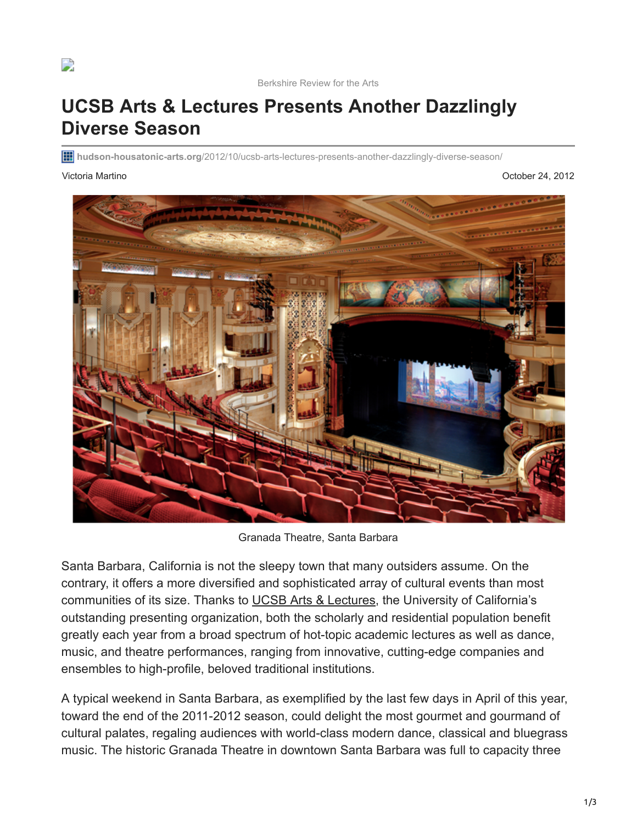

## **UCSB Arts & Lectures Presents Another Dazzlingly Diverse Season**

**hudson-housatonic-arts.org**[/2012/10/ucsb-arts-lectures-presents-another-dazzlingly-diverse-season/](https://hudson-housatonic-arts.org/2012/10/ucsb-arts-lectures-presents-another-dazzlingly-diverse-season/)

Victoria Martino October 24, 2012



Granada Theatre, Santa Barbara

Santa Barbara, California is not the sleepy town that many outsiders assume. On the contrary, it offers a more diversified and sophisticated array of cultural events than most communities of its size. Thanks to [UCSB Arts & Lectures](https://artsandlectures.sa.ucsb.edu/), the University of California's outstanding presenting organization, both the scholarly and residential population benefit greatly each year from a broad spectrum of hot-topic academic lectures as well as dance, music, and theatre performances, ranging from innovative, cutting-edge companies and ensembles to high-profile, beloved traditional institutions.

A typical weekend in Santa Barbara, as exemplified by the last few days in April of this year, toward the end of the 2011-2012 season, could delight the most gourmet and gourmand of cultural palates, regaling audiences with world-class modern dance, classical and bluegrass music. The historic Granada Theatre in downtown Santa Barbara was full to capacity three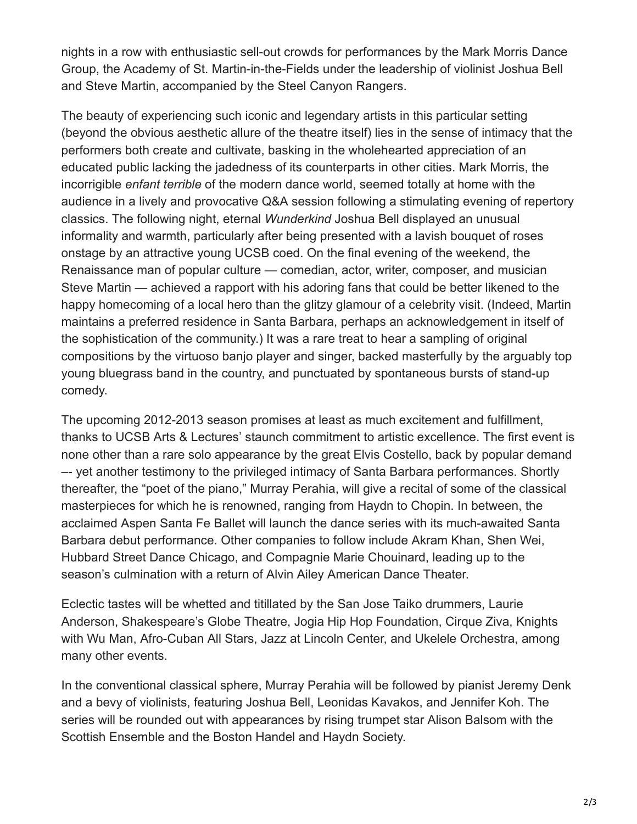nights in a row with enthusiastic sell-out crowds for performances by the Mark Morris Dance Group, the Academy of St. Martin-in-the-Fields under the leadership of violinist Joshua Bell and Steve Martin, accompanied by the Steel Canyon Rangers.

The beauty of experiencing such iconic and legendary artists in this particular setting (beyond the obvious aesthetic allure of the theatre itself) lies in the sense of intimacy that the performers both create and cultivate, basking in the wholehearted appreciation of an educated public lacking the jadedness of its counterparts in other cities. Mark Morris, the incorrigible *enfant terrible* of the modern dance world, seemed totally at home with the audience in a lively and provocative Q&A session following a stimulating evening of repertory classics. The following night, eternal *Wunderkind* Joshua Bell displayed an unusual informality and warmth, particularly after being presented with a lavish bouquet of roses onstage by an attractive young UCSB coed. On the final evening of the weekend, the Renaissance man of popular culture — comedian, actor, writer, composer, and musician Steve Martin — achieved a rapport with his adoring fans that could be better likened to the happy homecoming of a local hero than the glitzy glamour of a celebrity visit. (Indeed, Martin maintains a preferred residence in Santa Barbara, perhaps an acknowledgement in itself of the sophistication of the community.) It was a rare treat to hear a sampling of original compositions by the virtuoso banjo player and singer, backed masterfully by the arguably top young bluegrass band in the country, and punctuated by spontaneous bursts of stand-up comedy.

The upcoming 2012-2013 season promises at least as much excitement and fulfillment, thanks to UCSB Arts & Lectures' staunch commitment to artistic excellence. The first event is none other than a rare solo appearance by the great Elvis Costello, back by popular demand –- yet another testimony to the privileged intimacy of Santa Barbara performances. Shortly thereafter, the "poet of the piano," Murray Perahia, will give a recital of some of the classical masterpieces for which he is renowned, ranging from Haydn to Chopin. In between, the acclaimed Aspen Santa Fe Ballet will launch the dance series with its much-awaited Santa Barbara debut performance. Other companies to follow include Akram Khan, Shen Wei, Hubbard Street Dance Chicago, and Compagnie Marie Chouinard, leading up to the season's culmination with a return of Alvin Ailey American Dance Theater.

Eclectic tastes will be whetted and titillated by the San Jose Taiko drummers, Laurie Anderson, Shakespeare's Globe Theatre, Jogia Hip Hop Foundation, Cirque Ziva, Knights with Wu Man, Afro-Cuban All Stars, Jazz at Lincoln Center, and Ukelele Orchestra, among many other events.

In the conventional classical sphere, Murray Perahia will be followed by pianist Jeremy Denk and a bevy of violinists, featuring Joshua Bell, Leonidas Kavakos, and Jennifer Koh. The series will be rounded out with appearances by rising trumpet star Alison Balsom with the Scottish Ensemble and the Boston Handel and Haydn Society.